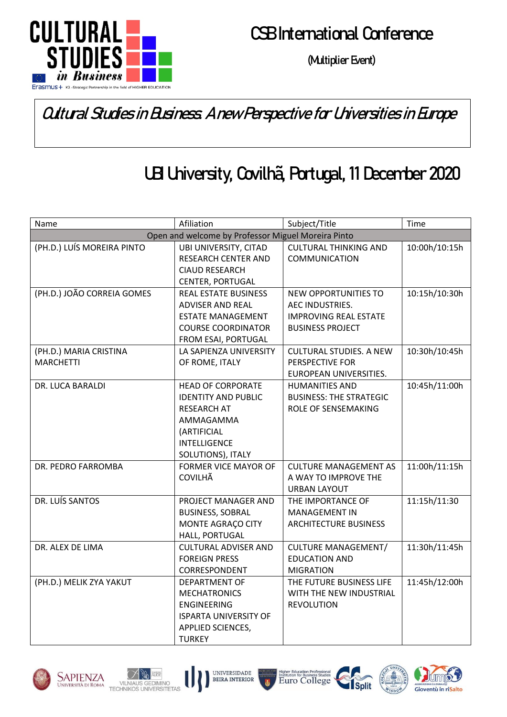

## **CSB International Conference**

**(Multiplier Event)**

### Cultural Studies in Business. A new Perspective for Universities in Europe

# UBI University, Covilhã, Portugal, 11 December 2020

| Name                                               | Afiliation                                          | Subject/Title                                       | Time          |  |  |  |
|----------------------------------------------------|-----------------------------------------------------|-----------------------------------------------------|---------------|--|--|--|
| Open and welcome by Professor Miguel Moreira Pinto |                                                     |                                                     |               |  |  |  |
| (PH.D.) LUÍS MOREIRA PINTO                         | UBI UNIVERSITY, CITAD                               | <b>CULTURAL THINKING AND</b>                        | 10:00h/10:15h |  |  |  |
|                                                    | <b>RESEARCH CENTER AND</b>                          | COMMUNICATION                                       |               |  |  |  |
|                                                    | <b>CIAUD RESEARCH</b>                               |                                                     |               |  |  |  |
|                                                    | CENTER, PORTUGAL                                    |                                                     |               |  |  |  |
| (PH.D.) JOÃO CORREIA GOMES                         | <b>REAL ESTATE BUSINESS</b>                         | <b>NEW OPPORTUNITIES TO</b>                         | 10:15h/10:30h |  |  |  |
|                                                    | <b>ADVISER AND REAL</b>                             | AEC INDUSTRIES.                                     |               |  |  |  |
|                                                    | <b>ESTATE MANAGEMENT</b>                            | <b>IMPROVING REAL ESTATE</b>                        |               |  |  |  |
|                                                    | <b>COURSE COORDINATOR</b>                           | <b>BUSINESS PROJECT</b>                             |               |  |  |  |
|                                                    | FROM ESAI, PORTUGAL                                 |                                                     |               |  |  |  |
| (PH.D.) MARIA CRISTINA                             | LA SAPIENZA UNIVERSITY                              | <b>CULTURAL STUDIES. A NEW</b>                      | 10:30h/10:45h |  |  |  |
| <b>MARCHETTI</b>                                   | OF ROME, ITALY                                      | PERSPECTIVE FOR                                     |               |  |  |  |
|                                                    |                                                     | EUROPEAN UNIVERSITIES.                              |               |  |  |  |
| DR. LUCA BARALDI                                   | <b>HEAD OF CORPORATE</b>                            | <b>HUMANITIES AND</b>                               | 10:45h/11:00h |  |  |  |
|                                                    | <b>IDENTITY AND PUBLIC</b>                          | <b>BUSINESS: THE STRATEGIC</b>                      |               |  |  |  |
|                                                    | <b>RESEARCH AT</b>                                  | ROLE OF SENSEMAKING                                 |               |  |  |  |
|                                                    | AMMAGAMMA                                           |                                                     |               |  |  |  |
|                                                    | (ARTIFICIAL                                         |                                                     |               |  |  |  |
|                                                    | <b>INTELLIGENCE</b>                                 |                                                     |               |  |  |  |
|                                                    | SOLUTIONS), ITALY                                   |                                                     |               |  |  |  |
| DR. PEDRO FARROMBA                                 | <b>FORMER VICE MAYOR OF</b>                         | <b>CULTURE MANAGEMENT AS</b>                        | 11:00h/11:15h |  |  |  |
|                                                    | <b>COVILHÃ</b>                                      | A WAY TO IMPROVE THE                                |               |  |  |  |
| DR. LUÍS SANTOS                                    |                                                     | <b>URBAN LAYOUT</b>                                 |               |  |  |  |
|                                                    | PROJECT MANAGER AND                                 | THE IMPORTANCE OF                                   | 11:15h/11:30  |  |  |  |
|                                                    | <b>BUSINESS, SOBRAL</b>                             | <b>MANAGEMENT IN</b>                                |               |  |  |  |
|                                                    | MONTE AGRAÇO CITY                                   | <b>ARCHITECTURE BUSINESS</b>                        |               |  |  |  |
| DR. ALEX DE LIMA                                   | HALL, PORTUGAL                                      |                                                     | 11:30h/11:45h |  |  |  |
|                                                    | <b>CULTURAL ADVISER AND</b><br><b>FOREIGN PRESS</b> | <b>CULTURE MANAGEMENT/</b><br><b>EDUCATION AND</b>  |               |  |  |  |
|                                                    | CORRESPONDENT                                       | <b>MIGRATION</b>                                    |               |  |  |  |
|                                                    |                                                     |                                                     | 11:45h/12:00h |  |  |  |
| (PH.D.) MELIK ZYA YAKUT                            | <b>DEPARTMENT OF</b><br><b>MECHATRONICS</b>         | THE FUTURE BUSINESS LIFE<br>WITH THE NEW INDUSTRIAL |               |  |  |  |
|                                                    | <b>ENGINEERING</b>                                  | <b>REVOLUTION</b>                                   |               |  |  |  |
|                                                    | <b>ISPARTA UNIVERSITY OF</b>                        |                                                     |               |  |  |  |
|                                                    | APPLIED SCIENCES,                                   |                                                     |               |  |  |  |
|                                                    | <b>TURKEY</b>                                       |                                                     |               |  |  |  |
|                                                    |                                                     |                                                     |               |  |  |  |











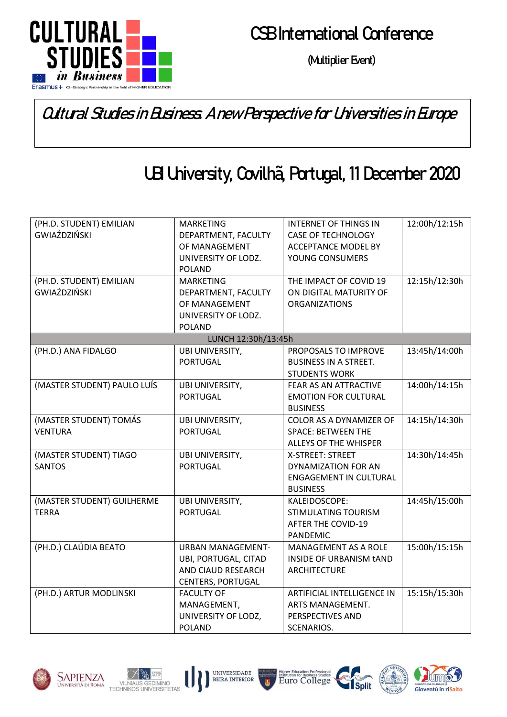

# **CSB International Conference**

**(Multiplier Event)**

### Cultural Studies in Business. A new Perspective for Universities in Europe

# UBI University, Covilhã, Portugal, 11 December 2020

| (PH.D. STUDENT) EMILIAN<br>GWIAŹDZIŃSKI<br>(PH.D. STUDENT) EMILIAN | <b>MARKETING</b><br>DEPARTMENT, FACULTY<br>OF MANAGEMENT<br>UNIVERSITY OF LODZ.<br><b>POLAND</b><br><b>MARKETING</b> | <b>INTERNET OF THINGS IN</b><br><b>CASE OF TECHNOLOGY</b><br><b>ACCEPTANCE MODEL BY</b><br>YOUNG CONSUMERS<br>THE IMPACT OF COVID 19 | 12:00h/12:15h<br>12:15h/12:30h |
|--------------------------------------------------------------------|----------------------------------------------------------------------------------------------------------------------|--------------------------------------------------------------------------------------------------------------------------------------|--------------------------------|
| GWIAŹDZIŃSKI                                                       | DEPARTMENT, FACULTY<br>OF MANAGEMENT<br>UNIVERSITY OF LODZ.<br><b>POLAND</b>                                         | ON DIGITAL MATURITY OF<br><b>ORGANIZATIONS</b>                                                                                       |                                |
|                                                                    | LUNCH 12:30h/13:45h                                                                                                  |                                                                                                                                      |                                |
| (PH.D.) ANA FIDALGO                                                | UBI UNIVERSITY,<br><b>PORTUGAL</b>                                                                                   | PROPOSALS TO IMPROVE<br><b>BUSINESS IN A STREET.</b><br><b>STUDENTS WORK</b>                                                         | 13:45h/14:00h                  |
| (MASTER STUDENT) PAULO LUÍS                                        | UBI UNIVERSITY,<br><b>PORTUGAL</b>                                                                                   | FEAR AS AN ATTRACTIVE<br><b>EMOTION FOR CULTURAL</b><br><b>BUSINESS</b>                                                              | 14:00h/14:15h                  |
| (MASTER STUDENT) TOMÁS<br><b>VENTURA</b>                           | UBI UNIVERSITY,<br><b>PORTUGAL</b>                                                                                   | COLOR AS A DYNAMIZER OF<br><b>SPACE: BETWEEN THE</b><br><b>ALLEYS OF THE WHISPER</b>                                                 | 14:15h/14:30h                  |
| (MASTER STUDENT) TIAGO<br><b>SANTOS</b>                            | UBI UNIVERSITY,<br><b>PORTUGAL</b>                                                                                   | <b>X-STREET: STREET</b><br>DYNAMIZATION FOR AN<br><b>ENGAGEMENT IN CULTURAL</b><br><b>BUSINESS</b>                                   | 14:30h/14:45h                  |
| (MASTER STUDENT) GUILHERME<br><b>TERRA</b>                         | UBI UNIVERSITY,<br><b>PORTUGAL</b>                                                                                   | KALEIDOSCOPE:<br><b>STIMULATING TOURISM</b><br><b>AFTER THE COVID-19</b><br><b>PANDEMIC</b>                                          | 14:45h/15:00h                  |
| (PH.D.) CLAÚDIA BEATO                                              | <b>URBAN MANAGEMENT-</b><br>UBI, PORTUGAL, CITAD<br>AND CIAUD RESEARCH<br><b>CENTERS, PORTUGAL</b>                   | <b>MANAGEMENT AS A ROLE</b><br>INSIDE OF URBANISM tAND<br><b>ARCHITECTURE</b>                                                        | 15:00h/15:15h                  |
| (PH.D.) ARTUR MODLINSKI                                            | <b>FACULTY OF</b><br>MANAGEMENT,<br>UNIVERSITY OF LODZ,<br><b>POLAND</b>                                             | ARTIFICIAL INTELLIGENCE IN<br>ARTS MANAGEMENT.<br>PERSPECTIVES AND<br>SCENARIOS.                                                     | 15:15h/15:30h                  |